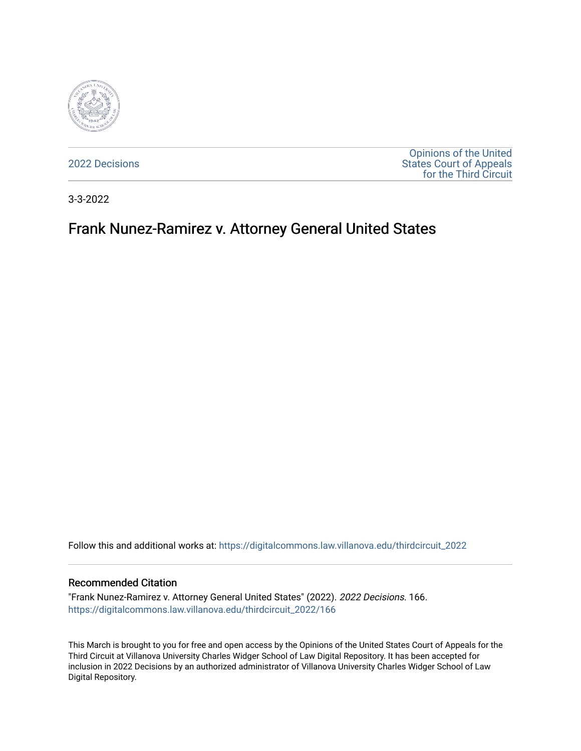

[2022 Decisions](https://digitalcommons.law.villanova.edu/thirdcircuit_2022)

[Opinions of the United](https://digitalcommons.law.villanova.edu/thirdcircuit)  [States Court of Appeals](https://digitalcommons.law.villanova.edu/thirdcircuit)  [for the Third Circuit](https://digitalcommons.law.villanova.edu/thirdcircuit) 

3-3-2022

# Frank Nunez-Ramirez v. Attorney General United States

Follow this and additional works at: [https://digitalcommons.law.villanova.edu/thirdcircuit\\_2022](https://digitalcommons.law.villanova.edu/thirdcircuit_2022?utm_source=digitalcommons.law.villanova.edu%2Fthirdcircuit_2022%2F166&utm_medium=PDF&utm_campaign=PDFCoverPages) 

#### Recommended Citation

"Frank Nunez-Ramirez v. Attorney General United States" (2022). 2022 Decisions. 166. [https://digitalcommons.law.villanova.edu/thirdcircuit\\_2022/166](https://digitalcommons.law.villanova.edu/thirdcircuit_2022/166?utm_source=digitalcommons.law.villanova.edu%2Fthirdcircuit_2022%2F166&utm_medium=PDF&utm_campaign=PDFCoverPages)

This March is brought to you for free and open access by the Opinions of the United States Court of Appeals for the Third Circuit at Villanova University Charles Widger School of Law Digital Repository. It has been accepted for inclusion in 2022 Decisions by an authorized administrator of Villanova University Charles Widger School of Law Digital Repository.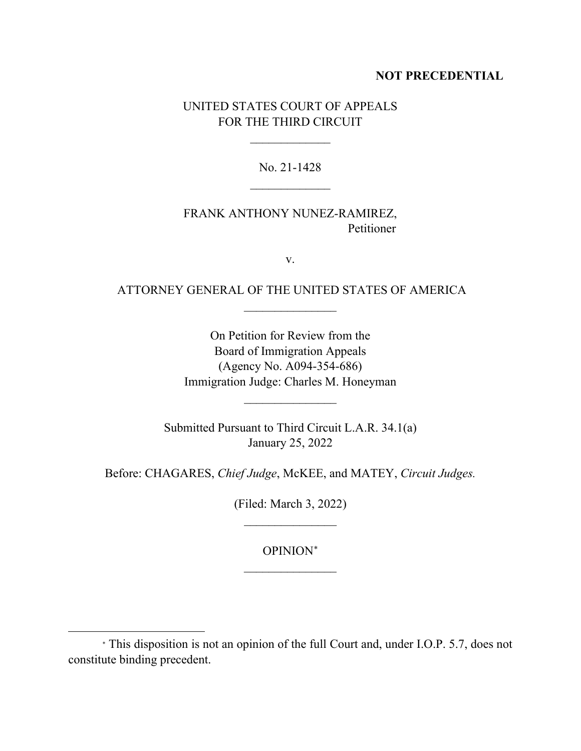## **NOT PRECEDENTIAL**

## UNITED STATES COURT OF APPEALS FOR THE THIRD CIRCUIT

 $\overline{\phantom{a}}$ 

No. 21-1428  $\frac{1}{2}$ 

## FRANK ANTHONY NUNEZ-RAMIREZ, Petitioner

v.

## ATTORNEY GENERAL OF THE UNITED STATES OF AMERICA  $\frac{1}{2}$

On Petition for Review from the Board of Immigration Appeals (Agency No. A094-354-686) Immigration Judge: Charles M. Honeyman

Submitted Pursuant to Third Circuit L.A.R. 34.1(a) January 25, 2022

 $\frac{1}{2}$ 

Before: CHAGARES, *Chief Judge*, McKEE, and MATEY, *Circuit Judges.*

(Filed: March 3, 2022)  $\overline{\phantom{a}}$  , where  $\overline{\phantom{a}}$ 

OPINION<sup>∗</sup>  $\frac{1}{2}$ 

<sup>∗</sup> This disposition is not an opinion of the full Court and, under I.O.P. 5.7, does not constitute binding precedent.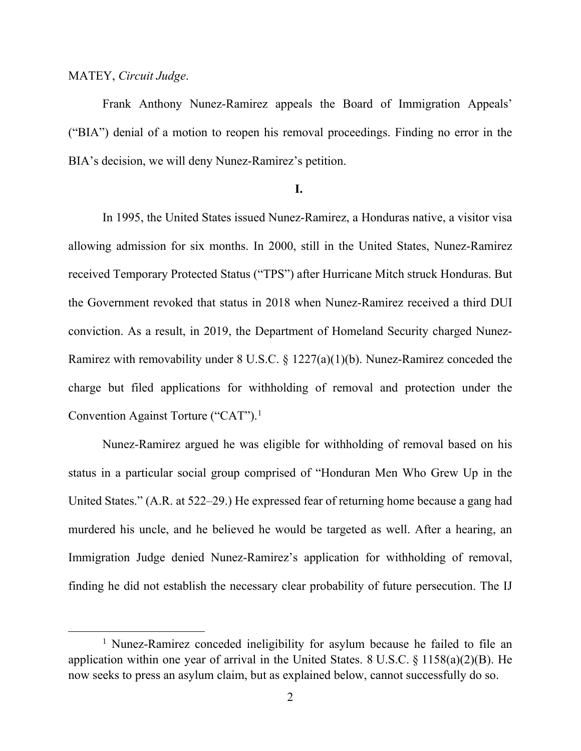#### MATEY, *Circuit Judge*.

Frank Anthony Nunez-Ramirez appeals the Board of Immigration Appeals' ("BIA") denial of a motion to reopen his removal proceedings. Finding no error in the BIA's decision, we will deny Nunez-Ramirez's petition.

### **I.**

In 1995, the United States issued Nunez-Ramirez, a Honduras native, a visitor visa allowing admission for six months. In 2000, still in the United States, Nunez-Ramirez received Temporary Protected Status ("TPS") after Hurricane Mitch struck Honduras. But the Government revoked that status in 2018 when Nunez-Ramirez received a third DUI conviction. As a result, in 2019, the Department of Homeland Security charged Nunez-Ramirez with removability under 8 U.S.C. § 1227(a)(1)(b). Nunez-Ramirez conceded the charge but filed applications for withholding of removal and protection under the Convention Against Torture ("CAT").<sup>1</sup>

Nunez-Ramirez argued he was eligible for withholding of removal based on his status in a particular social group comprised of "Honduran Men Who Grew Up in the United States." (A.R. at 522–29.) He expressed fear of returning home because a gang had murdered his uncle, and he believed he would be targeted as well. After a hearing, an Immigration Judge denied Nunez-Ramirez's application for withholding of removal, finding he did not establish the necessary clear probability of future persecution. The IJ

<sup>&</sup>lt;sup>1</sup> Nunez-Ramirez conceded ineligibility for asylum because he failed to file an application within one year of arrival in the United States. 8 U.S.C.  $\S$  1158(a)(2)(B). He now seeks to press an asylum claim, but as explained below, cannot successfully do so.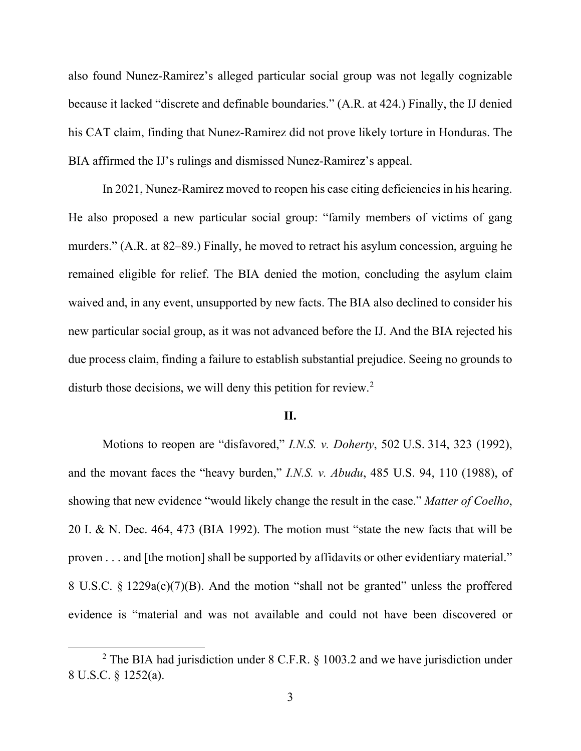also found Nunez-Ramirez's alleged particular social group was not legally cognizable because it lacked "discrete and definable boundaries." (A.R. at 424.) Finally, the IJ denied his CAT claim, finding that Nunez-Ramirez did not prove likely torture in Honduras. The BIA affirmed the IJ's rulings and dismissed Nunez-Ramirez's appeal.

In 2021, Nunez-Ramirez moved to reopen his case citing deficiencies in his hearing. He also proposed a new particular social group: "family members of victims of gang murders." (A.R. at 82–89.) Finally, he moved to retract his asylum concession, arguing he remained eligible for relief. The BIA denied the motion, concluding the asylum claim waived and, in any event, unsupported by new facts. The BIA also declined to consider his new particular social group, as it was not advanced before the IJ. And the BIA rejected his due process claim, finding a failure to establish substantial prejudice. Seeing no grounds to disturb those decisions, we will deny this petition for review.<sup>2</sup>

#### **II.**

Motions to reopen are "disfavored," *I.N.S. v. Doherty*, 502 U.S. 314, 323 (1992), and the movant faces the "heavy burden," *I.N.S. v. Abudu*, 485 U.S. 94, 110 (1988), of showing that new evidence "would likely change the result in the case." *Matter of Coelho*, 20 I. & N. Dec. 464, 473 (BIA 1992). The motion must "state the new facts that will be proven . . . and [the motion] shall be supported by affidavits or other evidentiary material." 8 U.S.C. § 1229a(c)(7)(B). And the motion "shall not be granted" unless the proffered evidence is "material and was not available and could not have been discovered or

<sup>&</sup>lt;sup>2</sup> The BIA had jurisdiction under 8 C.F.R.  $\S$  1003.2 and we have jurisdiction under 8 U.S.C. § 1252(a).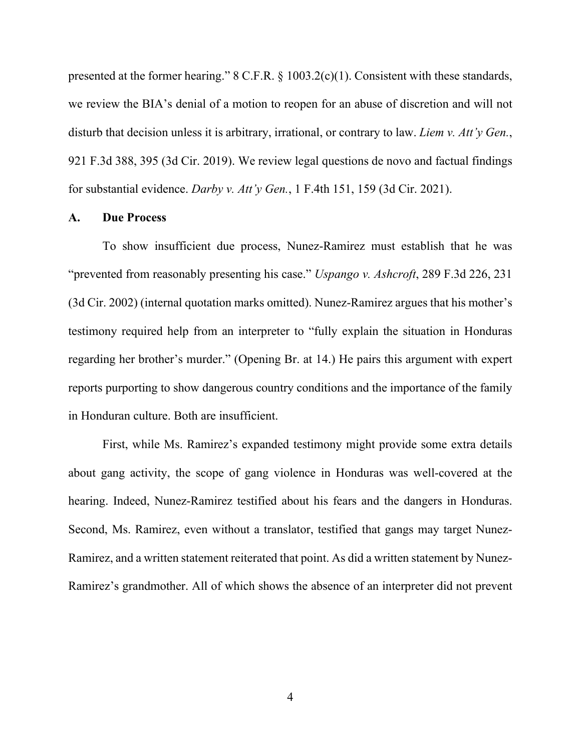presented at the former hearing." 8 C.F.R. § 1003.2(c)(1). Consistent with these standards, we review the BIA's denial of a motion to reopen for an abuse of discretion and will not disturb that decision unless it is arbitrary, irrational, or contrary to law. *Liem v. Att'y Gen.*, 921 F.3d 388, 395 (3d Cir. 2019). We review legal questions de novo and factual findings for substantial evidence. *Darby v. Att'y Gen.*, 1 F.4th 151, 159 (3d Cir. 2021).

#### **A. Due Process**

To show insufficient due process, Nunez-Ramirez must establish that he was "prevented from reasonably presenting his case." *Uspango v. Ashcroft*, 289 F.3d 226, 231 (3d Cir. 2002) (internal quotation marks omitted). Nunez-Ramirez argues that his mother's testimony required help from an interpreter to "fully explain the situation in Honduras regarding her brother's murder." (Opening Br. at 14.) He pairs this argument with expert reports purporting to show dangerous country conditions and the importance of the family in Honduran culture. Both are insufficient.

First, while Ms. Ramirez's expanded testimony might provide some extra details about gang activity, the scope of gang violence in Honduras was well-covered at the hearing. Indeed, Nunez-Ramirez testified about his fears and the dangers in Honduras. Second, Ms. Ramirez, even without a translator, testified that gangs may target Nunez-Ramirez, and a written statement reiterated that point. As did a written statement by Nunez-Ramirez's grandmother. All of which shows the absence of an interpreter did not prevent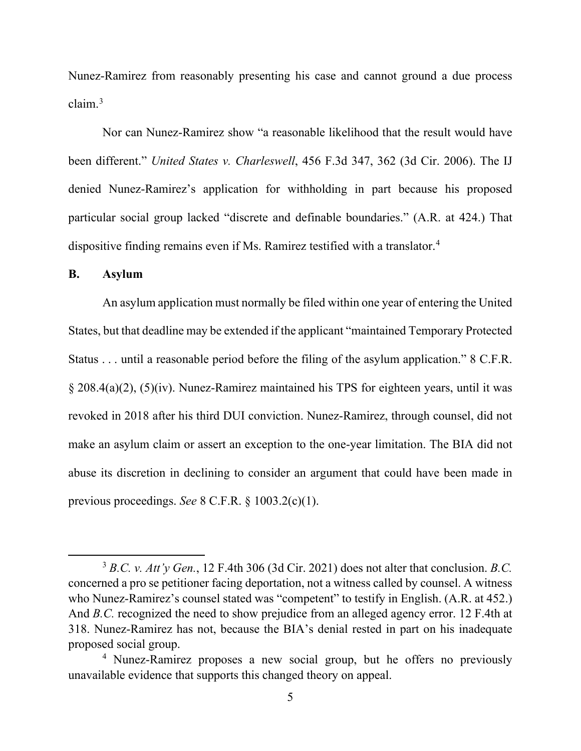Nunez-Ramirez from reasonably presenting his case and cannot ground a due process claim. 3

Nor can Nunez-Ramirez show "a reasonable likelihood that the result would have been different." *United States v. Charleswell*, 456 F.3d 347, 362 (3d Cir. 2006). The IJ denied Nunez-Ramirez's application for withholding in part because his proposed particular social group lacked "discrete and definable boundaries." (A.R. at 424.) That dispositive finding remains even if Ms. Ramirez testified with a translator.<sup>4</sup>

### **B. Asylum**

An asylum application must normally be filed within one year of entering the United States, but that deadline may be extended if the applicant "maintained Temporary Protected Status . . . until a reasonable period before the filing of the asylum application." 8 C.F.R. § 208.4(a)(2), (5)(iv). Nunez-Ramirez maintained his TPS for eighteen years, until it was revoked in 2018 after his third DUI conviction. Nunez-Ramirez, through counsel, did not make an asylum claim or assert an exception to the one-year limitation. The BIA did not abuse its discretion in declining to consider an argument that could have been made in previous proceedings. *See* 8 C.F.R. § 1003.2(c)(1).

<sup>3</sup> *B.C. v. Att'y Gen.*, 12 F.4th 306 (3d Cir. 2021) does not alter that conclusion. *B.C.* concerned a pro se petitioner facing deportation, not a witness called by counsel. A witness who Nunez-Ramirez's counsel stated was "competent" to testify in English. (A.R. at 452.) And *B.C.* recognized the need to show prejudice from an alleged agency error. 12 F.4th at 318. Nunez-Ramirez has not, because the BIA's denial rested in part on his inadequate proposed social group.

<sup>4</sup> Nunez-Ramirez proposes a new social group, but he offers no previously unavailable evidence that supports this changed theory on appeal.